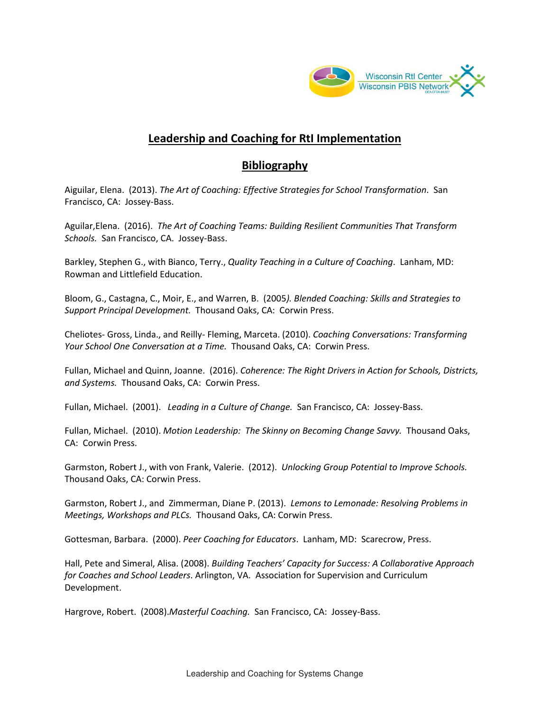

## **Leadership and Coaching for RtI Implementation**

## **Bibliography**

Aiguilar, Elena. (2013). *The Art of Coaching: Effective Strategies for School Transformation*. San Francisco, CA: Jossey-Bass.

Aguilar,Elena. (2016). *The Art of Coaching Teams: Building Resilient Communities That Transform Schools.* San Francisco, CA. Jossey-Bass.

Barkley, Stephen G., with Bianco, Terry., *Quality Teaching in a Culture of Coaching*. Lanham, MD: Rowman and Littlefield Education.

Bloom, G., Castagna, C., Moir, E., and Warren, B. (2005*). Blended Coaching: Skills and Strategies to Support Principal Development.* Thousand Oaks, CA: Corwin Press.

Cheliotes- Gross, Linda., and Reilly- Fleming, Marceta. (2010). *Coaching Conversations: Transforming Your School One Conversation at a Time.* Thousand Oaks, CA: Corwin Press.

Fullan, Michael and Quinn, Joanne. (2016). *Coherence: The Right Drivers in Action for Schools, Districts, and Systems.* Thousand Oaks, CA: Corwin Press.

Fullan, Michael. (2001). *Leading in a Culture of Change.* San Francisco, CA: Jossey-Bass.

Fullan, Michael. (2010). *Motion Leadership: The Skinny on Becoming Change Savvy.* Thousand Oaks, CA: Corwin Press.

Garmston, Robert J., with von Frank, Valerie. (2012). *Unlocking Group Potential to Improve Schools.* Thousand Oaks, CA: Corwin Press.

Garmston, Robert J., and Zimmerman, Diane P. (2013). *Lemons to Lemonade: Resolving Problems in Meetings, Workshops and PLCs.* Thousand Oaks, CA: Corwin Press.

Gottesman, Barbara. (2000). *Peer Coaching for Educators*. Lanham, MD: Scarecrow, Press.

Hall, Pete and Simeral, Alisa. (2008). *Building Teachers' Capacity for Success: A Collaborative Approach for Coaches and School Leaders*. Arlington, VA. Association for Supervision and Curriculum Development.

Hargrove, Robert. (2008).*Masterful Coaching.* San Francisco, CA: Jossey-Bass.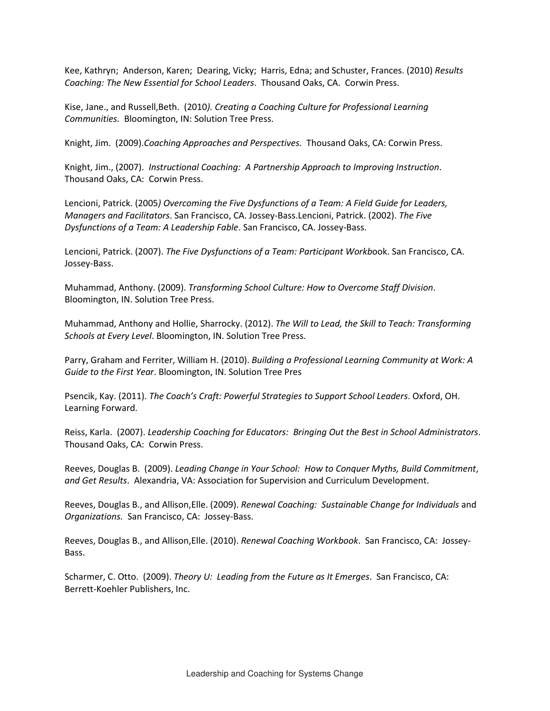Kee, Kathryn; Anderson, Karen; Dearing, Vicky; Harris, Edna; and Schuster, Frances. (2010) *Results Coaching: The New Essential for School Leaders*. Thousand Oaks, CA. Corwin Press.

Kise, Jane., and Russell,Beth. (2010*). Creating a Coaching Culture for Professional Learning Communities.* Bloomington, IN: Solution Tree Press.

Knight, Jim. (2009).*Coaching Approaches and Perspectives.* Thousand Oaks, CA: Corwin Press.

Knight, Jim., (2007). *Instructional Coaching: A Partnership Approach to Improving Instruction*. Thousand Oaks, CA: Corwin Press.

Lencioni, Patrick. (2005*) Overcoming the Five Dysfunctions of a Team: A Field Guide for Leaders, Managers and Facilitators*. San Francisco, CA. Jossey-Bass.Lencioni, Patrick. (2002). *The Five Dysfunctions of a Team: A Leadership Fable*. San Francisco, CA. Jossey-Bass.

Lencioni, Patrick. (2007). *The Five Dysfunctions of a Team: Participant Workb*ook. San Francisco, CA. Jossey-Bass.

Muhammad, Anthony. (2009). *Transforming School Culture: How to Overcome Staff Division*. Bloomington, IN. Solution Tree Press.

Muhammad, Anthony and Hollie, Sharrocky. (2012). *The Will to Lead, the Skill to Teach: Transforming Schools at Every Level*. Bloomington, IN. Solution Tree Press.

Parry, Graham and Ferriter, William H. (2010). *Building a Professional Learning Community at Work: A Guide to the First Year*. Bloomington, IN. Solution Tree Pres

Psencik, Kay. (2011). *The Coach's Craft: Powerful Strategies to Support School Leaders*. Oxford, OH. Learning Forward.

Reiss, Karla. (2007). *Leadership Coaching for Educators: Bringing Out the Best in School Administrators*. Thousand Oaks, CA: Corwin Press.

Reeves, Douglas B. (2009). *Leading Change in Your School: How to Conquer Myths, Build Commitment*, *and Get Results*. Alexandria, VA: Association for Supervision and Curriculum Development.

Reeves, Douglas B., and Allison,Elle. (2009). *Renewal Coaching: Sustainable Change for Individuals* and *Organizations.* San Francisco, CA: Jossey-Bass.

Reeves, Douglas B., and Allison,Elle. (2010). *Renewal Coaching Workbook*. San Francisco, CA: Jossey-Bass.

Scharmer, C. Otto. (2009). *Theory U: Leading from the Future as It Emerges*. San Francisco, CA: Berrett-Koehler Publishers, Inc.